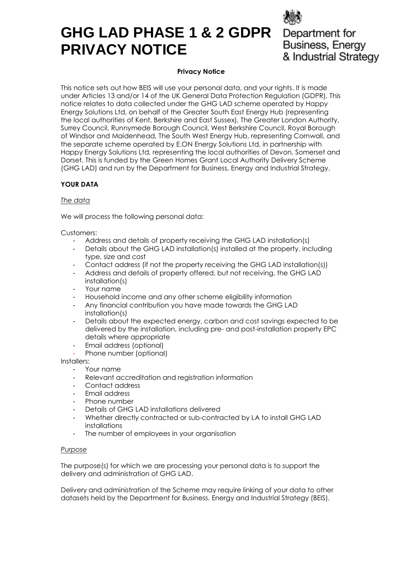# **GHG LAD PHASE 1 & 2 GDPR PRIVACY NOTICE**



#### **Privacy Notice**

This notice sets out how BEIS will use your personal data, and your rights. It is made under Articles 13 and/or 14 of the UK General Data Protection Regulation (GDPR). This notice relates to data collected under the GHG LAD scheme operated by Happy Energy Solutions Ltd, on behalf of the Greater South East Energy Hub (representing the local authorities of Kent, Berkshire and East Sussex), The Greater London Authority, Surrey Council, Runnymede Borough Council, West Berkshire Council, Royal Borough of Windsor and Maidenhead, The South West Energy Hub, representing Cornwall, and the separate scheme operated by E.ON Energy Solutions Ltd, in partnership with Happy Energy Solutions Ltd, representing the local authorities of Devon, Somerset and Dorset. This is funded by the Green Homes Grant Local Authority Delivery Scheme (GHG LAD) and run by the Department for Business, Energy and Industrial Strategy.

# **YOUR DATA**

## *The data*

We will process the following personal data:

#### Customers:

- Address and details of property receiving the GHG LAD installation(s)
- Details about the GHG LAD installation(s) installed at the property, including type, size and cost
- Contact address (if not the property receiving the GHG LAD installation(s))
- Address and details of property offered, but not receiving, the GHG LAD installation(s)
- Your name
- Household income and any other scheme eligibility information
- Any financial contribution you have made towards the GHG LAD installation(s)
- Details about the expected energy, carbon and cost savings expected to be delivered by the installation, including pre- and post-installation property EPC details where appropriate
- Email address (optional)
- Phone number (optional)

Installers:

- Your name
- Relevant accreditation and registration information
- Contact address
- Email address
- Phone number
- Details of GHG LAD installations delivered
- Whether directly contracted or sub-contracted by LA to install GHG LAD installations
- The number of employees in your organisation

#### *Purpose*

The purpose(s) for which we are processing your personal data is to support the delivery and administration of GHG LAD.

Delivery and administration of the Scheme may require linking of your data to other datasets held by the Department for Business, Energy and Industrial Strategy (BEIS).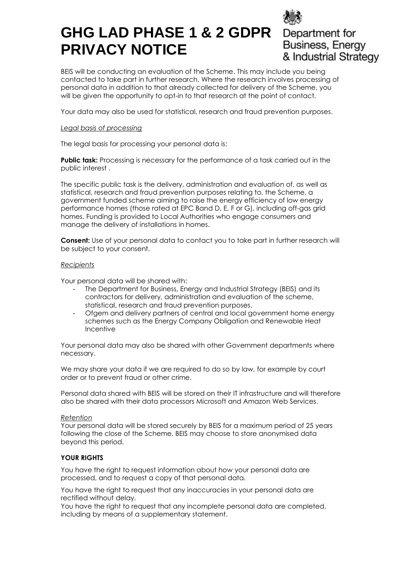# **GHG LAD PHASE 1 & 2 GDPR PRIVACY NOTICE**

Department for Business, Energy & Industrial Strategy

BEIS will be conducting an evaluation of the Scheme. This may include you being contacted to take part in further research. Where the research involves processing of personal data in addition to that already collected for delivery of the Scheme, you will be given the opportunity to opt-in to that research at the point of contact.

Your data may also be used for statistical, research and fraud prevention purposes.

# *Legal basis of processing*

The legal basis for processing your personal data is:

**Public task:** Processing is necessary for the performance of a task carried out in the public interest .

The specific public task is the delivery, administration and evaluation of, as well as statistical, research and fraud prevention purposes relating to, the Scheme, a government funded scheme aiming to raise the energy efficiency of low energy performance homes (those rated at EPC Band D, E, F or G), including off-gas grid homes. Funding is provided to Local Authorities who engage consumers and manage the delivery of installations in homes.

**Consent:** Use of your personal data to contact you to take part in further research will be subject to your consent.

## *Recipients*

Your personal data will be shared with:

- The Department for Business, Energy and Industrial Strategy (BEIS) and its contractors for delivery, administration and evaluation of the scheme, statistical, research and fraud prevention purposes.
- Ofgem and delivery partners of central and local government home energy schemes such as the Energy Company Obligation and Renewable Heat Incentive

Your personal data may also be shared with other Government departments where necessary.

We may share your data if we are required to do so by law, for example by court order or to prevent fraud or other crime.

Personal data shared with BEIS will be stored on their IT infrastructure and will therefore also be shared with their data processors Microsoft and Amazon Web Services.

## *Retention*

Your personal data will be stored securely by BEIS for a maximum period of 25 years following the close of the Scheme. BEIS may choose to store anonymised data beyond this period.

## **YOUR RIGHTS**

You have the right to request information about how your personal data are processed, and to request a copy of that personal data.

You have the right to request that any inaccuracies in your personal data are rectified without delay.

You have the right to request that any incomplete personal data are completed, including by means of a supplementary statement.